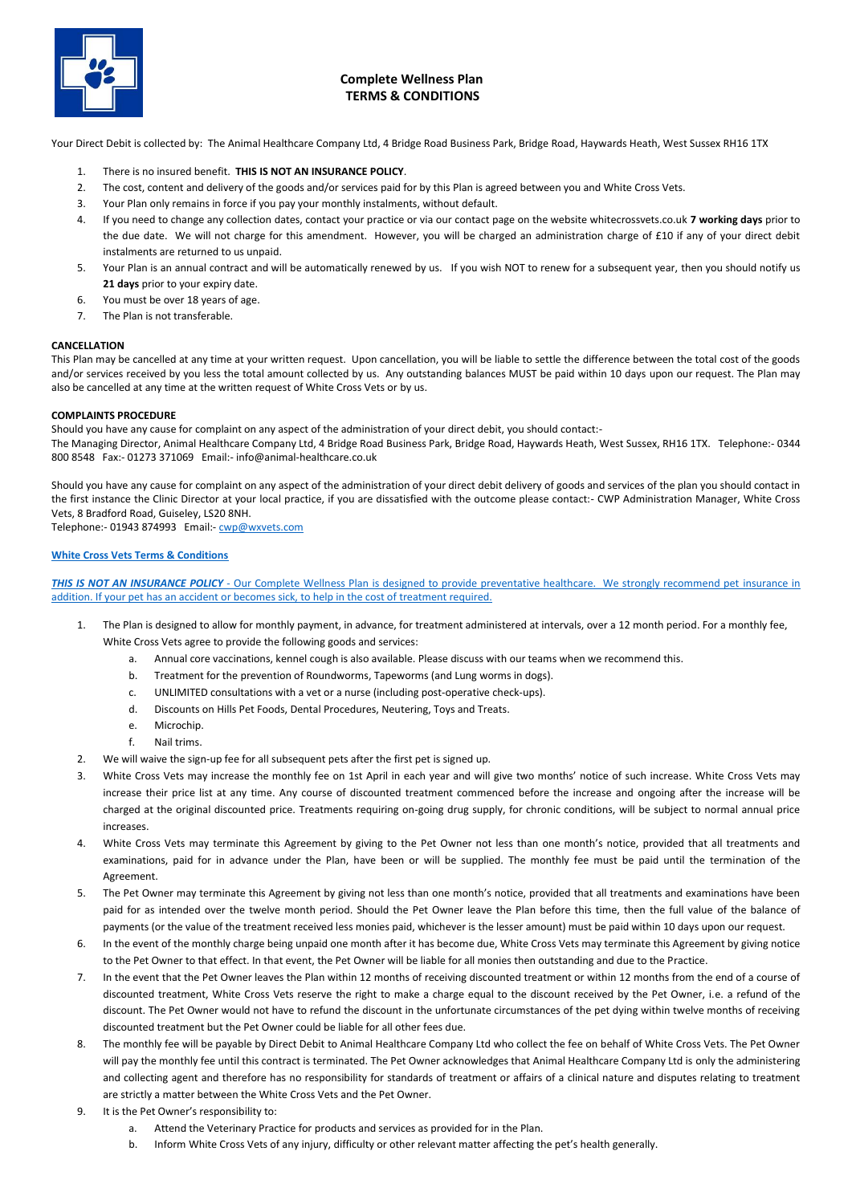

## **Complete Wellness Plan TERMS & CONDITIONS**

Your Direct Debit is collected by: The Animal Healthcare Company Ltd, 4 Bridge Road Business Park, Bridge Road, Haywards Heath, West Sussex RH16 1TX

- 1. There is no insured benefit. **THIS IS NOT AN INSURANCE POLICY**.
- 2. The cost, content and delivery of the goods and/or services paid for by this Plan is agreed between you and White Cross Vets.
- 3. Your Plan only remains in force if you pay your monthly instalments, without default.
- 4. If you need to change any collection dates, contact your practice or via our contact page on the website whitecrossvets.co.uk **7 working days** prior to the due date. We will not charge for this amendment. However, you will be charged an administration charge of £10 if any of your direct debit instalments are returned to us unpaid.
- 5. Your Plan is an annual contract and will be automatically renewed by us. If you wish NOT to renew for a subsequent year, then you should notify us **21 days** prior to your expiry date.
- 6. You must be over 18 years of age.
- 7. The Plan is not transferable.

## **CANCELLATION**

This Plan may be cancelled at any time at your written request. Upon cancellation, you will be liable to settle the difference between the total cost of the goods and/or services received by you less the total amount collected by us. Any outstanding balances MUST be paid within 10 days upon our request. The Plan may also be cancelled at any time at the written request of White Cross Vets or by us.

## **COMPLAINTS PROCEDURE**

Should you have any cause for complaint on any aspect of the administration of your direct debit, you should contact:-

The Managing Director, Animal Healthcare Company Ltd, 4 Bridge Road Business Park, Bridge Road, Haywards Heath, West Sussex, RH16 1TX. Telephone:- 0344 800 8548 Fax:- 01273 371069 Email:- info@animal-healthcare.co.uk

Should you have any cause for complaint on any aspect of the administration of your direct debit delivery of goods and services of the plan you should contact in the first instance the Clinic Director at your local practice, if you are dissatisfied with the outcome please contact:- CWP Administration Manager, White Cross Vets, 8 Bradford Road, Guiseley, LS20 8NH.

Telephone:- 01943 874993 Email:- [cwp@wxvets.com](mailto:cwp@wxvets.com)

## **White Cross Vets Terms & Conditions**

*THIS IS NOT AN INSURANCE POLICY* - Our Complete Wellness Plan is designed to provide preventative healthcare. We strongly recommend pet insurance in addition. If your pet has an accident or becomes sick, to help in the cost of treatment required.

- 1. The Plan is designed to allow for monthly payment, in advance, for treatment administered at intervals, over a 12 month period. For a monthly fee, White Cross Vets agree to provide the following goods and services:
	- a. Annual core vaccinations, kennel cough is also available. Please discuss with our teams when we recommend this.
	- b. Treatment for the prevention of Roundworms, Tapeworms (and Lung worms in dogs).
	- c. UNLIMITED consultations with a vet or a nurse (including post-operative check-ups).
	- d. Discounts on Hills Pet Foods, Dental Procedures, Neutering, Toys and Treats.
	- e. Microchip.
	- f. Nail trims.
- 2. We will waive the sign-up fee for all subsequent pets after the first pet is signed up.
- 3. White Cross Vets may increase the monthly fee on 1st April in each year and will give two months' notice of such increase. White Cross Vets may increase their price list at any time. Any course of discounted treatment commenced before the increase and ongoing after the increase will be charged at the original discounted price. Treatments requiring on-going drug supply, for chronic conditions, will be subject to normal annual price increases.
- 4. White Cross Vets may terminate this Agreement by giving to the Pet Owner not less than one month's notice, provided that all treatments and examinations, paid for in advance under the Plan, have been or will be supplied. The monthly fee must be paid until the termination of the Agreement.
- 5. The Pet Owner may terminate this Agreement by giving not less than one month's notice, provided that all treatments and examinations have been paid for as intended over the twelve month period. Should the Pet Owner leave the Plan before this time, then the full value of the balance of payments (or the value of the treatment received less monies paid, whichever is the lesser amount) must be paid within 10 days upon our request.
- 6. In the event of the monthly charge being unpaid one month after it has become due, White Cross Vets may terminate this Agreement by giving notice to the Pet Owner to that effect. In that event, the Pet Owner will be liable for all monies then outstanding and due to the Practice.
- 7. In the event that the Pet Owner leaves the Plan within 12 months of receiving discounted treatment or within 12 months from the end of a course of discounted treatment, White Cross Vets reserve the right to make a charge equal to the discount received by the Pet Owner, i.e. a refund of the discount. The Pet Owner would not have to refund the discount in the unfortunate circumstances of the pet dying within twelve months of receiving discounted treatment but the Pet Owner could be liable for all other fees due.
- 8. The monthly fee will be payable by Direct Debit to Animal Healthcare Company Ltd who collect the fee on behalf of White Cross Vets. The Pet Owner will pay the monthly fee until this contract is terminated. The Pet Owner acknowledges that Animal Healthcare Company Ltd is only the administering and collecting agent and therefore has no responsibility for standards of treatment or affairs of a clinical nature and disputes relating to treatment are strictly a matter between the White Cross Vets and the Pet Owner.
- 9. It is the Pet Owner's responsibility to:
	- a. Attend the Veterinary Practice for products and services as provided for in the Plan.
	- b. Inform White Cross Vets of any injury, difficulty or other relevant matter affecting the pet's health generally.